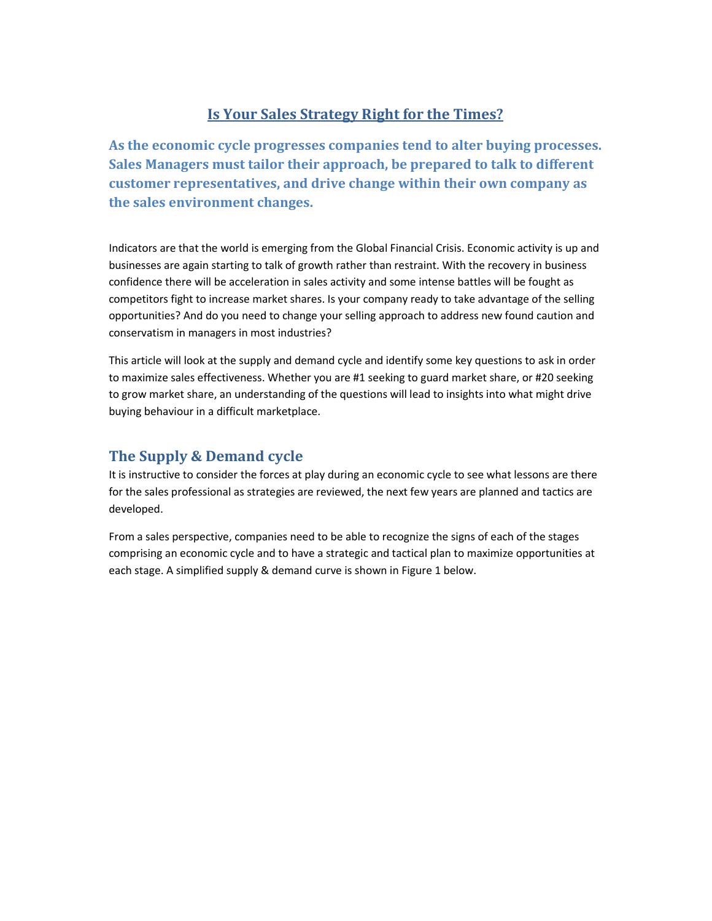## Is Your Sales Strategy Right for the Times?

As the economic cycle progresses companies tend to alter buying processes. Sales Managers must tailor their approach, be prepared to talk to different customer representatives, and drive change within their own company as the sales environment changes.

Indicators are that the world is emerging from the Global Financial Crisis. Economic activity is up and businesses are again starting to talk of growth rather than restraint. With the recovery in business confidence there will be acceleration in sales activity and some intense battles will be fought as competitors fight to increase market shares. Is your company ready to take advantage of the selling opportunities? And do you need to change your selling approach to address new found caution and conservatism in managers in most industries?

This article will look at the supply and demand cycle and identify some key questions to ask in order to maximize sales effectiveness. Whether you are #1 seeking to guard market share, or #20 seeking to grow market share, an understanding of the questions will lead to insights into what might drive buying behaviour in a difficult marketplace.

### The Supply & Demand cycle

It is instructive to consider the forces at play during an economic cycle to see what lessons are there for the sales professional as strategies are reviewed, the next few years are planned and tactics are developed.

From a sales perspective, companies need to be able to recognize the signs of each of the stages comprising an economic cycle and to have a strategic and tactical plan to maximize opportunities at each stage. A simplified supply & demand curve is shown in Figure 1 below.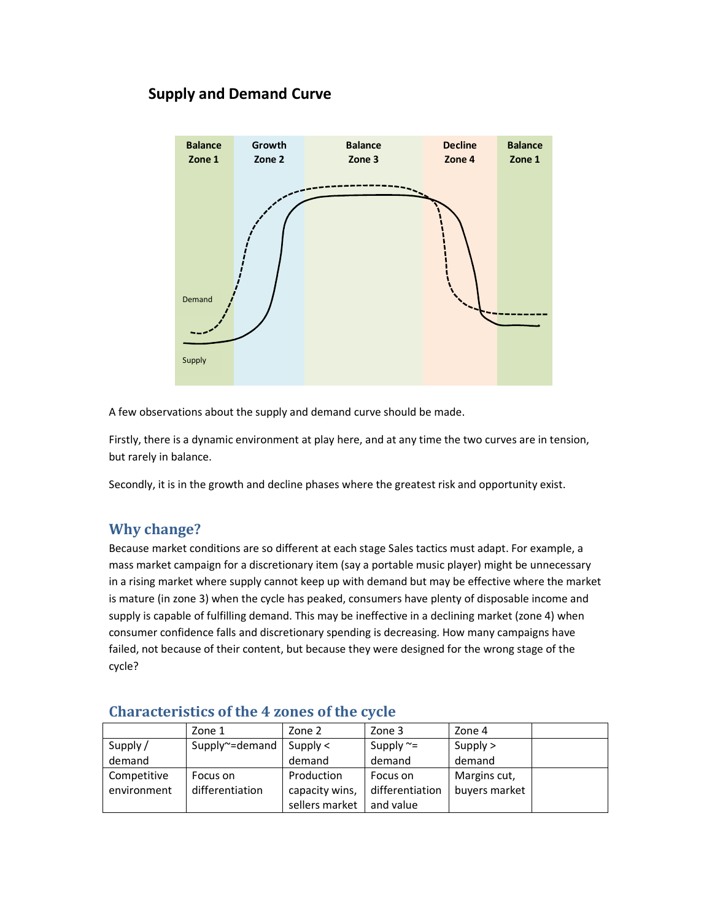# Supply and Demand Curve



A few observations about the supply and demand curve should be made.

Firstly, there is a dynamic environment at play here, and at any time the two curves are in tension, but rarely in balance.

Secondly, it is in the growth and decline phases where the greatest risk and opportunity exist.

# Why change?

Because market conditions are so different at each stage Sales tactics must adapt. For example, a mass market campaign for a discretionary item (say a portable music player) might be unnecessary in a rising market where supply cannot keep up with demand but may be effective where the market is mature (in zone 3) when the cycle has peaked, consumers have plenty of disposable income and supply is capable of fulfilling demand. This may be ineffective in a declining market (zone 4) when consumer confidence falls and discretionary spending is decreasing. How many campaigns have failed, not because of their content, but because they were designed for the wrong stage of the cycle?

|             | Zone 1          | Zone 2         | Zone 3          | Zone 4        |  |
|-------------|-----------------|----------------|-----------------|---------------|--|
| Supply /    | Supply~=demand  | Supply $\lt$   | Supply $\sim$ = | Supply $>$    |  |
| demand      |                 | demand         | demand          | demand        |  |
| Competitive | Focus on        | Production     | Focus on        | Margins cut,  |  |
| environment | differentiation | capacity wins, | differentiation | buyers market |  |
|             |                 | sellers market | and value       |               |  |

#### Characteristics of the 4 zones of the cycle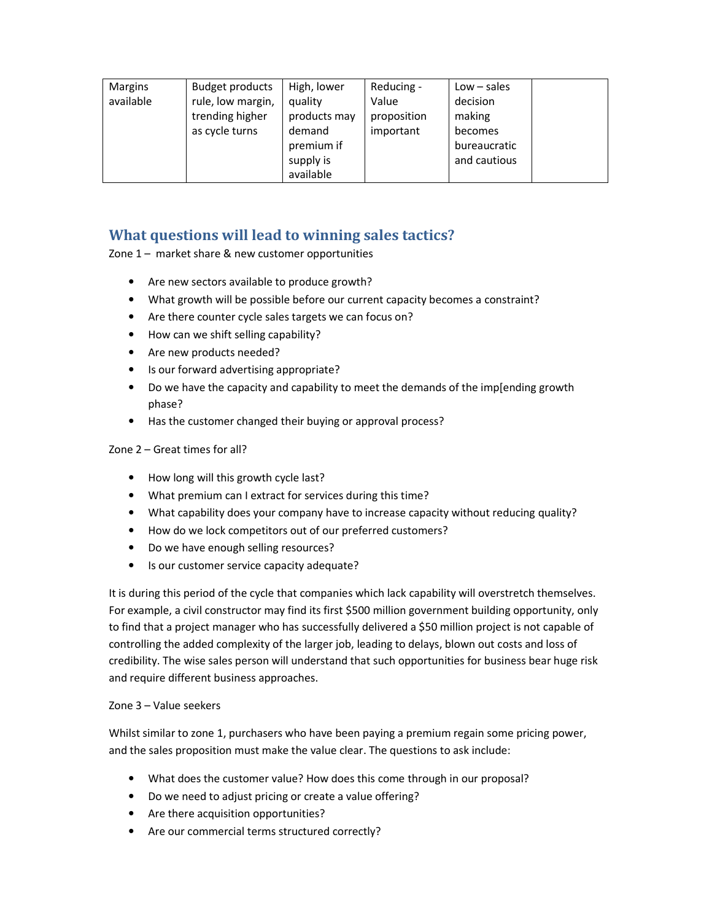| <b>Margins</b><br>available | Budget products<br>rule, low margin,<br>trending higher<br>as cycle turns | High, lower<br>quality<br>products may<br>demand<br>premium if | Reducing -<br>Value<br>proposition<br>important | $Low - sales$<br>decision<br>making<br>becomes<br>bureaucratic |
|-----------------------------|---------------------------------------------------------------------------|----------------------------------------------------------------|-------------------------------------------------|----------------------------------------------------------------|
|                             |                                                                           | supply is<br>available                                         |                                                 | and cautious                                                   |

### What questions will lead to winning sales tactics?

Zone 1 – market share & new customer opportunities

- Are new sectors available to produce growth?
- What growth will be possible before our current capacity becomes a constraint?
- Are there counter cycle sales targets we can focus on?
- How can we shift selling capability?
- Are new products needed?
- Is our forward advertising appropriate?
- Do we have the capacity and capability to meet the demands of the imp[ending growth phase?
- Has the customer changed their buying or approval process?

#### Zone 2 – Great times for all?

- How long will this growth cycle last?
- What premium can I extract for services during this time?
- What capability does your company have to increase capacity without reducing quality?
- How do we lock competitors out of our preferred customers?
- Do we have enough selling resources?
- Is our customer service capacity adequate?

It is during this period of the cycle that companies which lack capability will overstretch themselves. For example, a civil constructor may find its first \$500 million government building opportunity, only to find that a project manager who has successfully delivered a \$50 million project is not capable of controlling the added complexity of the larger job, leading to delays, blown out costs and loss of credibility. The wise sales person will understand that such opportunities for business bear huge risk and require different business approaches.

#### Zone 3 – Value seekers

Whilst similar to zone 1, purchasers who have been paying a premium regain some pricing power, and the sales proposition must make the value clear. The questions to ask include:

- What does the customer value? How does this come through in our proposal?
- Do we need to adjust pricing or create a value offering?
- Are there acquisition opportunities?
- Are our commercial terms structured correctly?